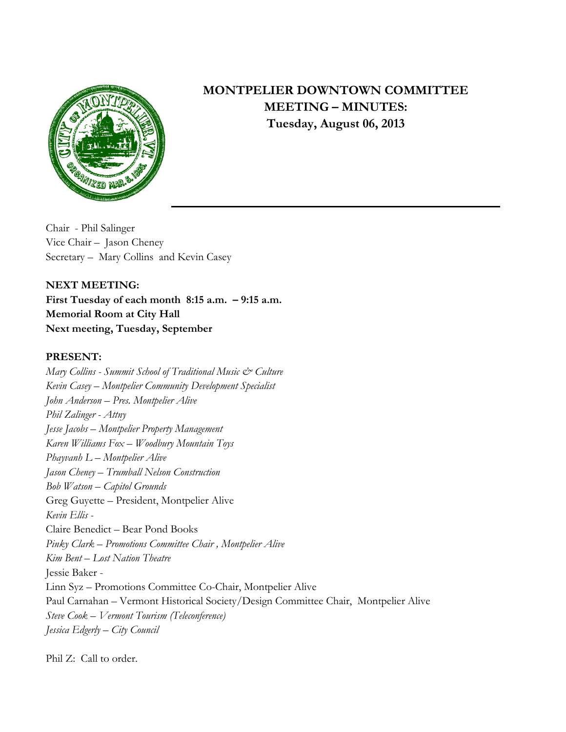

## **MONTPELIER DOWNTOWN COMMITTEE MEETING – MINUTES: Tuesday, August 06, 2013**

Chair - Phil Salinger Vice Chair – Jason Cheney Secretary – Mary Collins and Kevin Casey

**NEXT MEETING: First Tuesday of each month 8:15 a.m. – 9:15 a.m. Memorial Room at City Hall Next meeting, Tuesday, September** 

## **PRESENT:**

*Mary Collins - Summit School of Traditional Music & Culture Kevin Casey – Montpelier Community Development Specialist John Anderson – Pres. Montpelier Alive Phil Zalinger - Attny Jesse Jacobs – Montpelier Property Management Karen Williams Fox – Woodbury Mountain Toys Phayvanh L – Montpelier Alive Jason Cheney – Trumball Nelson Construction Bob Watson – Capitol Grounds* Greg Guyette – President, Montpelier Alive *Kevin Ellis -* Claire Benedict – Bear Pond Books *Pinky Clark – Promotions Committee Chair , Montpelier Alive Kim Bent – Lost Nation Theatre* Jessie Baker - Linn Syz – Promotions Committee Co-Chair, Montpelier Alive Paul Carnahan – Vermont Historical Society/Design Committee Chair, Montpelier Alive *Steve Cook – Vermont Tourism (Teleconference) Jessica Edgerly – City Council*

Phil Z: Call to order.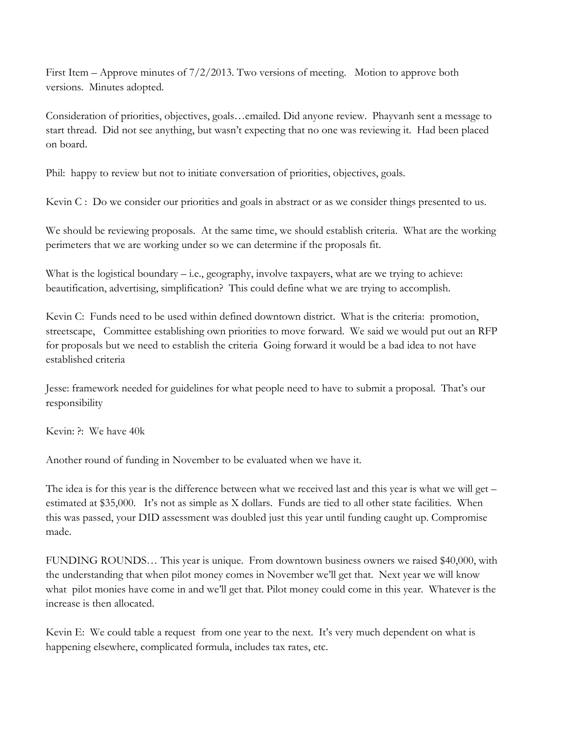First Item – Approve minutes of 7/2/2013. Two versions of meeting. Motion to approve both versions. Minutes adopted.

Consideration of priorities, objectives, goals…emailed. Did anyone review. Phayvanh sent a message to start thread. Did not see anything, but wasn't expecting that no one was reviewing it. Had been placed on board.

Phil: happy to review but not to initiate conversation of priorities, objectives, goals.

Kevin C : Do we consider our priorities and goals in abstract or as we consider things presented to us.

We should be reviewing proposals. At the same time, we should establish criteria. What are the working perimeters that we are working under so we can determine if the proposals fit.

What is the logistical boundary – i.e., geography, involve taxpayers, what are we trying to achieve: beautification, advertising, simplification? This could define what we are trying to accomplish.

Kevin C: Funds need to be used within defined downtown district. What is the criteria: promotion, streetscape, Committee establishing own priorities to move forward. We said we would put out an RFP for proposals but we need to establish the criteria Going forward it would be a bad idea to not have established criteria

Jesse: framework needed for guidelines for what people need to have to submit a proposal. That's our responsibility

Kevin: ?: We have 40k

Another round of funding in November to be evaluated when we have it.

The idea is for this year is the difference between what we received last and this year is what we will get – estimated at \$35,000. It's not as simple as X dollars. Funds are tied to all other state facilities. When this was passed, your DID assessment was doubled just this year until funding caught up. Compromise made.

FUNDING ROUNDS… This year is unique. From downtown business owners we raised \$40,000, with the understanding that when pilot money comes in November we'll get that. Next year we will know what pilot monies have come in and we'll get that. Pilot money could come in this year. Whatever is the increase is then allocated.

Kevin E: We could table a request from one year to the next. It's very much dependent on what is happening elsewhere, complicated formula, includes tax rates, etc.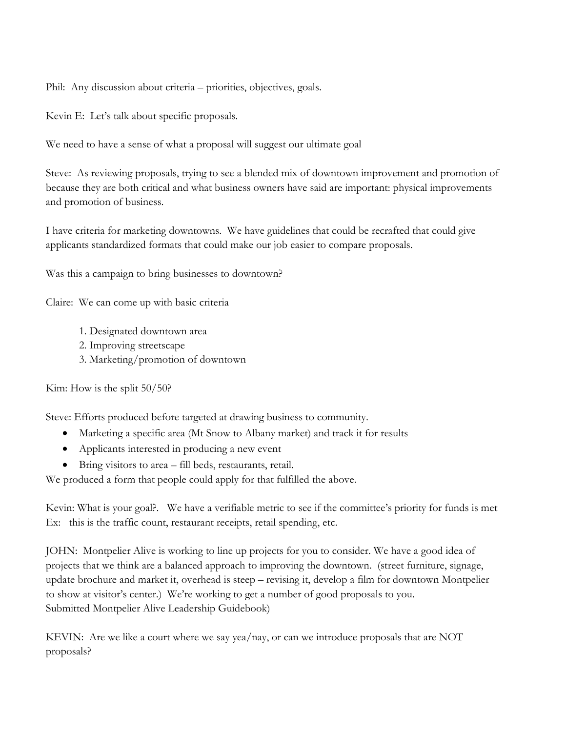Phil: Any discussion about criteria – priorities, objectives, goals.

Kevin E: Let's talk about specific proposals.

We need to have a sense of what a proposal will suggest our ultimate goal

Steve: As reviewing proposals, trying to see a blended mix of downtown improvement and promotion of because they are both critical and what business owners have said are important: physical improvements and promotion of business.

I have criteria for marketing downtowns. We have guidelines that could be recrafted that could give applicants standardized formats that could make our job easier to compare proposals.

Was this a campaign to bring businesses to downtown?

Claire: We can come up with basic criteria

- 1. Designated downtown area
- 2. Improving streetscape
- 3. Marketing/promotion of downtown

Kim: How is the split  $50/50$ ?

Steve: Efforts produced before targeted at drawing business to community.

- Marketing a specific area (Mt Snow to Albany market) and track it for results
- Applicants interested in producing a new event
- Bring visitors to area fill beds, restaurants, retail.

We produced a form that people could apply for that fulfilled the above.

Kevin: What is your goal?. We have a verifiable metric to see if the committee's priority for funds is met Ex: this is the traffic count, restaurant receipts, retail spending, etc.

JOHN: Montpelier Alive is working to line up projects for you to consider. We have a good idea of projects that we think are a balanced approach to improving the downtown. (street furniture, signage, update brochure and market it, overhead is steep – revising it, develop a film for downtown Montpelier to show at visitor's center.) We're working to get a number of good proposals to you. Submitted Montpelier Alive Leadership Guidebook)

KEVIN: Are we like a court where we say yea/nay, or can we introduce proposals that are NOT proposals?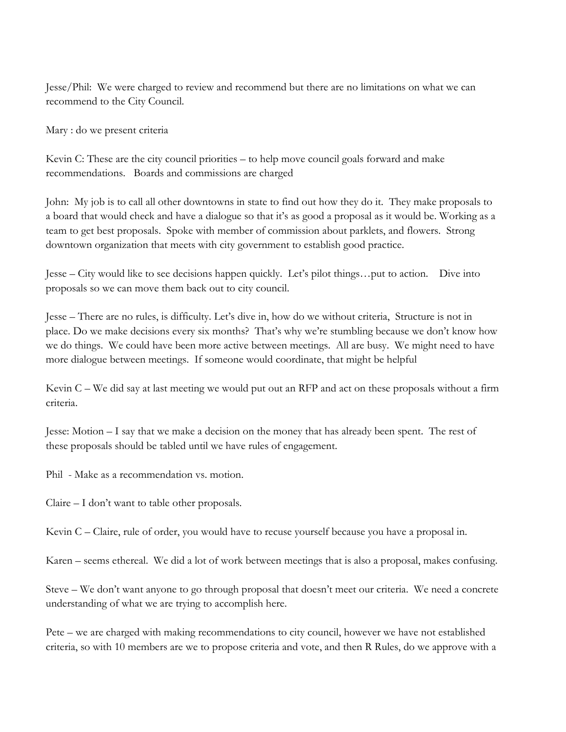Jesse/Phil: We were charged to review and recommend but there are no limitations on what we can recommend to the City Council.

Mary : do we present criteria

Kevin C: These are the city council priorities – to help move council goals forward and make recommendations. Boards and commissions are charged

John: My job is to call all other downtowns in state to find out how they do it. They make proposals to a board that would check and have a dialogue so that it's as good a proposal as it would be. Working as a team to get best proposals. Spoke with member of commission about parklets, and flowers. Strong downtown organization that meets with city government to establish good practice.

Jesse – City would like to see decisions happen quickly. Let's pilot things…put to action. Dive into proposals so we can move them back out to city council.

Jesse – There are no rules, is difficulty. Let's dive in, how do we without criteria, Structure is not in place. Do we make decisions every six months? That's why we're stumbling because we don't know how we do things. We could have been more active between meetings. All are busy. We might need to have more dialogue between meetings. If someone would coordinate, that might be helpful

Kevin C – We did say at last meeting we would put out an RFP and act on these proposals without a firm criteria.

Jesse: Motion – I say that we make a decision on the money that has already been spent. The rest of these proposals should be tabled until we have rules of engagement.

Phil - Make as a recommendation vs. motion.

Claire – I don't want to table other proposals.

Kevin C – Claire, rule of order, you would have to recuse yourself because you have a proposal in.

Karen – seems ethereal. We did a lot of work between meetings that is also a proposal, makes confusing.

Steve – We don't want anyone to go through proposal that doesn't meet our criteria. We need a concrete understanding of what we are trying to accomplish here.

Pete – we are charged with making recommendations to city council, however we have not established criteria, so with 10 members are we to propose criteria and vote, and then R Rules, do we approve with a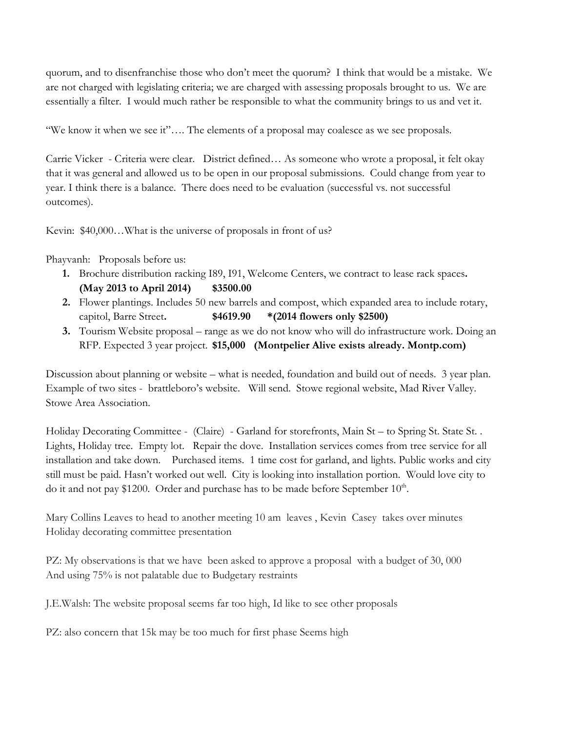quorum, and to disenfranchise those who don't meet the quorum? I think that would be a mistake. We are not charged with legislating criteria; we are charged with assessing proposals brought to us. We are essentially a filter. I would much rather be responsible to what the community brings to us and vet it.

"We know it when we see it"…. The elements of a proposal may coalesce as we see proposals.

Carrie Vicker - Criteria were clear. District defined… As someone who wrote a proposal, it felt okay that it was general and allowed us to be open in our proposal submissions. Could change from year to year. I think there is a balance. There does need to be evaluation (successful vs. not successful outcomes).

Kevin: \$40,000...What is the universe of proposals in front of us?

Phayvanh: Proposals before us:

- **1.** Brochure distribution racking I89, I91, Welcome Centers, we contract to lease rack spaces**. (May 2013 to April 2014) \$3500.00**
- **2.** Flower plantings. Includes 50 new barrels and compost, which expanded area to include rotary, capitol, Barre Street**. \$4619.90 \*(2014 flowers only \$2500)**
- **3.** Tourism Website proposal range as we do not know who will do infrastructure work. Doing an RFP. Expected 3 year project. **\$15,000 (Montpelier Alive exists already. Montp.com)**

Discussion about planning or website – what is needed, foundation and build out of needs. 3 year plan. Example of two sites - brattleboro's website. Will send. Stowe regional website, Mad River Valley. Stowe Area Association.

Holiday Decorating Committee - (Claire) - Garland for storefronts, Main St – to Spring St. State St. . Lights, Holiday tree. Empty lot. Repair the dove. Installation services comes from tree service for all installation and take down. Purchased items. 1 time cost for garland, and lights. Public works and city still must be paid. Hasn't worked out well. City is looking into installation portion. Would love city to do it and not pay \$1200. Order and purchase has to be made before September  $10^{th}$ .

Mary Collins Leaves to head to another meeting 10 am leaves , Kevin Casey takes over minutes Holiday decorating committee presentation

PZ: My observations is that we have been asked to approve a proposal with a budget of 30, 000 And using 75% is not palatable due to Budgetary restraints

J.E.Walsh: The website proposal seems far too high, Id like to see other proposals

PZ: also concern that 15k may be too much for first phase Seems high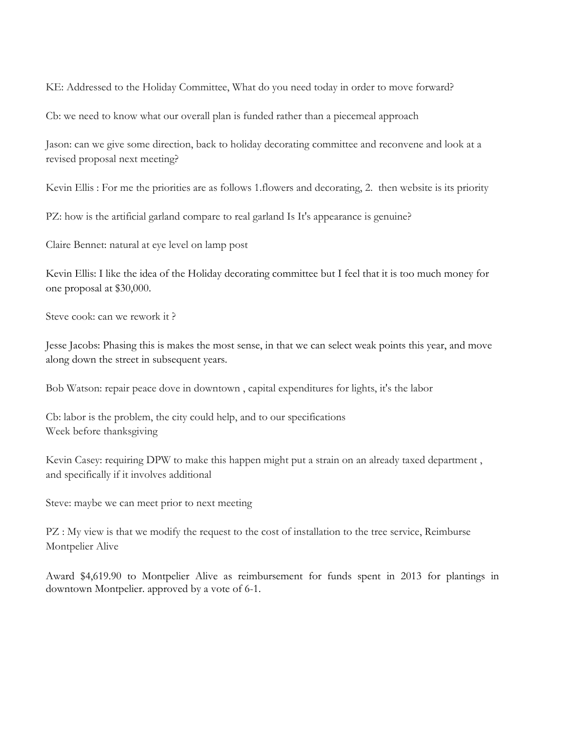KE: Addressed to the Holiday Committee, What do you need today in order to move forward?

Cb: we need to know what our overall plan is funded rather than a piecemeal approach

Jason: can we give some direction, back to holiday decorating committee and reconvene and look at a revised proposal next meeting?

Kevin Ellis : For me the priorities are as follows 1.flowers and decorating, 2. then website is its priority

PZ: how is the artificial garland compare to real garland Is It's appearance is genuine?

Claire Bennet: natural at eye level on lamp post

Kevin Ellis: I like the idea of the Holiday decorating committee but I feel that it is too much money for one proposal at \$30,000.

Steve cook: can we rework it ?

Jesse Jacobs: Phasing this is makes the most sense, in that we can select weak points this year, and move along down the street in subsequent years.

Bob Watson: repair peace dove in downtown , capital expenditures for lights, it's the labor

Cb: labor is the problem, the city could help, and to our specifications Week before thanksgiving

Kevin Casey: requiring DPW to make this happen might put a strain on an already taxed department , and specifically if it involves additional

Steve: maybe we can meet prior to next meeting

PZ : My view is that we modify the request to the cost of installation to the tree service, Reimburse Montpelier Alive

Award \$4,619.90 to Montpelier Alive as reimbursement for funds spent in 2013 for plantings in downtown Montpelier. approved by a vote of 6-1.